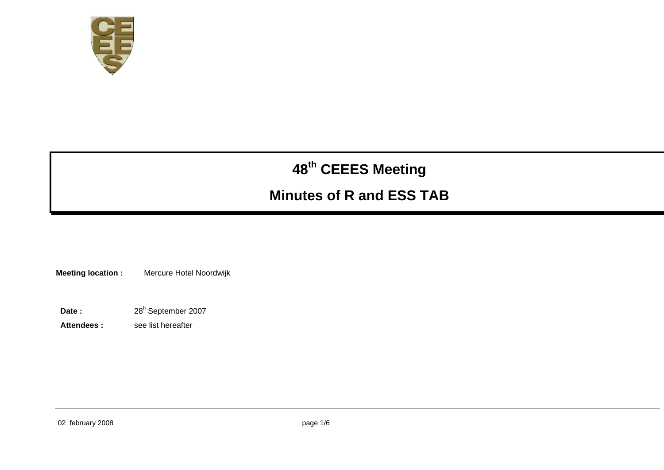

# **<sup>48</sup>th CEEES Meeting**

## **Minutes of R and ESS TAB**

**Meeting location :** Mercure Hotel Noordwijk

- Date : 28<sup>h</sup> September 2007
- **Attendees :** see list hereafter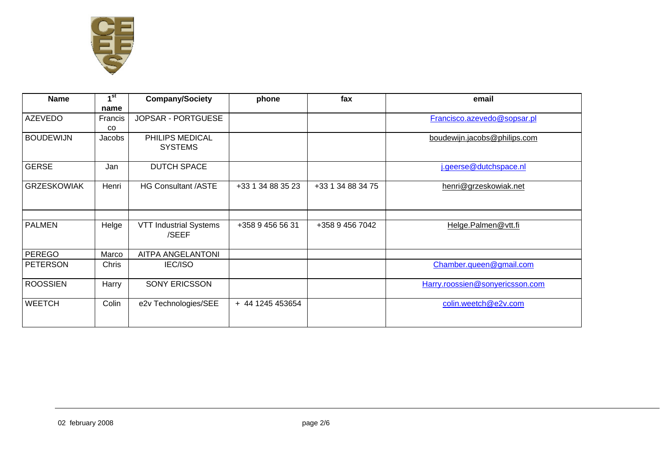

| <b>Name</b>        | 1 <sup>st</sup> | <b>Company/Society</b>        | phone<br>fax      |                   | email                           |  |
|--------------------|-----------------|-------------------------------|-------------------|-------------------|---------------------------------|--|
|                    | name            |                               |                   |                   |                                 |  |
| <b>AZEVEDO</b>     | Francis         | JOPSAR - PORTGUESE            |                   |                   | Francisco.azevedo@sopsar.pl     |  |
|                    | <b>CO</b>       |                               |                   |                   |                                 |  |
| <b>BOUDEWIJN</b>   | Jacobs          | PHILIPS MEDICAL               |                   |                   | boudewijn.jacobs@philips.com    |  |
|                    |                 | <b>SYSTEMS</b>                |                   |                   |                                 |  |
|                    |                 |                               |                   |                   |                                 |  |
| <b>GERSE</b>       | Jan             | <b>DUTCH SPACE</b>            |                   |                   | j.geerse@dutchspace.nl          |  |
|                    |                 |                               |                   |                   |                                 |  |
| <b>GRZESKOWIAK</b> | Henri           | <b>HG Consultant /ASTE</b>    | +33 1 34 88 35 23 | +33 1 34 88 34 75 | henri@grzeskowiak.net           |  |
|                    |                 |                               |                   |                   |                                 |  |
|                    |                 |                               |                   |                   |                                 |  |
|                    |                 |                               |                   |                   |                                 |  |
| <b>PALMEN</b>      | Helge           | <b>VTT Industrial Systems</b> | +358 9 456 56 31  | +358 9 456 7042   | Helge.Palmen@vtt.fi             |  |
|                    |                 | /SEEF                         |                   |                   |                                 |  |
|                    |                 |                               |                   |                   |                                 |  |
| <b>PEREGO</b>      | Marco           | AITPA ANGELANTONI             |                   |                   |                                 |  |
| <b>PETERSON</b>    | Chris           | <b>IEC/ISO</b>                |                   |                   | Chamber.queen@gmail.com         |  |
|                    |                 |                               |                   |                   |                                 |  |
| <b>ROOSSIEN</b>    | Harry           | <b>SONY ERICSSON</b>          |                   |                   | Harry.roossien@sonyericsson.com |  |
|                    |                 |                               |                   |                   |                                 |  |
| <b>WEETCH</b>      | Colin           | e2v Technologies/SEE          | + 44 1245 453654  |                   | colin.weetch@e2v.com            |  |
|                    |                 |                               |                   |                   |                                 |  |
|                    |                 |                               |                   |                   |                                 |  |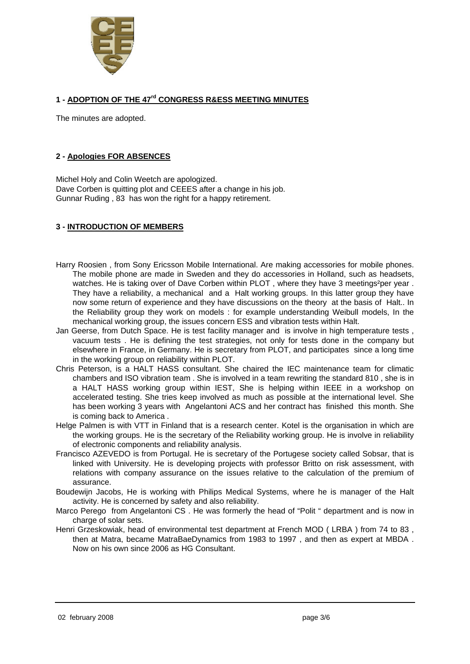

#### **1 - ADOPTION OF THE 47rd CONGRESS R&ESS MEETING MINUTES**

The minutes are adopted.

#### **2 - Apologies FOR ABSENCES**

Michel Holy and Colin Weetch are apologized. Dave Corben is quitting plot and CEEES after a change in his job. Gunnar Ruding , 83 has won the right for a happy retirement.

#### **3 - INTRODUCTION OF MEMBERS**

- Harry Roosien , from Sony Ericsson Mobile International. Are making accessories for mobile phones. The mobile phone are made in Sweden and they do accessories in Holland, such as headsets, watches. He is taking over of Dave Corben within PLOT, where they have 3 meetings<sup>2</sup>per year. They have a reliability, a mechanical and a Halt working groups. In this latter group they have now some return of experience and they have discussions on the theory at the basis of Halt.. In the Reliability group they work on models : for example understanding Weibull models, In the mechanical working group, the issues concern ESS and vibration tests within Halt.
- Jan Geerse, from Dutch Space. He is test facility manager and is involve in high temperature tests , vacuum tests . He is defining the test strategies, not only for tests done in the company but elsewhere in France, in Germany. He is secretary from PLOT, and participates since a long time in the working group on reliability within PLOT.
- Chris Peterson, is a HALT HASS consultant. She chaired the IEC maintenance team for climatic chambers and ISO vibration team . She is involved in a team rewriting the standard 810 , she is in a HALT HASS working group within IEST, She is helping within IEEE in a workshop on accelerated testing. She tries keep involved as much as possible at the international level. She has been working 3 years with Angelantoni ACS and her contract has finished this month. She is coming back to America .
- Helge Palmen is with VTT in Finland that is a research center. Kotel is the organisation in which are the working groups. He is the secretary of the Reliability working group. He is involve in reliability of electronic components and reliability analysis.
- Francisco AZEVEDO is from Portugal. He is secretary of the Portugese society called Sobsar, that is linked with University. He is developing projects with professor Britto on risk assessment, with relations with company assurance on the issues relative to the calculation of the premium of assurance.
- Boudewijn Jacobs, He is working with Philips Medical Systems, where he is manager of the Halt activity. He is concerned by safety and also reliability.
- Marco Perego from Angelantoni CS . He was formerly the head of "Polit " department and is now in charge of solar sets.
- Henri Grzeskowiak, head of environmental test department at French MOD ( LRBA ) from 74 to 83 , then at Matra, became MatraBaeDynamics from 1983 to 1997 , and then as expert at MBDA . Now on his own since 2006 as HG Consultant.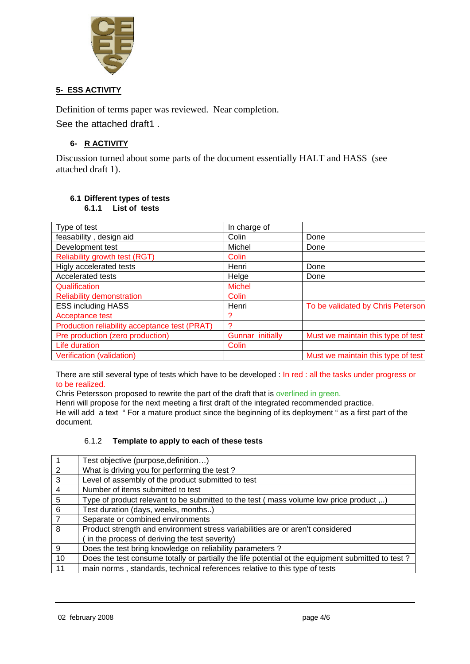

#### **5- ESS ACTIVITY**

Definition of terms paper was reviewed. Near completion. See the attached draft1 .

#### **6- R ACTIVITY**

Discussion turned about some parts of the document essentially HALT and HASS (see attached draft 1).

### **6.1 Different types of tests**

**6.1.1 List of tests** 

| Type of test                                  | In charge of     |                                    |  |
|-----------------------------------------------|------------------|------------------------------------|--|
| feasability, design aid                       | Colin            | Done                               |  |
| Development test                              | Michel           | Done                               |  |
| Reliability growth test (RGT)                 | Colin            |                                    |  |
| Higly accelerated tests                       | Henri            | Done                               |  |
| <b>Accelerated tests</b>                      | Helge            | Done                               |  |
| Qualification                                 | <b>Michel</b>    |                                    |  |
| <b>Reliability demonstration</b>              | Colin            |                                    |  |
| <b>ESS including HASS</b>                     | Henri            | To be validated by Chris Peterson  |  |
| Acceptance test                               | 2                |                                    |  |
| Production reliability acceptance test (PRAT) | ာ                |                                    |  |
| Pre production (zero production)              | Gunnar initially | Must we maintain this type of test |  |
| Life duration                                 | Colin            |                                    |  |
| Verification (validation)                     |                  | Must we maintain this type of test |  |

There are still several type of tests which have to be developed : In red : all the tasks under progress or to be realized.

Chris Petersson proposed to rewrite the part of the draft that is overlined in green.

Henri will propose for the next meeting a first draft of the integrated recommended practice. He will add a text " For a mature product since the beginning of its deployment " as a first part of the document.

#### 6.1.2 **Template to apply to each of these tests**

| $\vert$ 1       | Test objective (purpose, definition)                                                              |
|-----------------|---------------------------------------------------------------------------------------------------|
| $\overline{2}$  | What is driving you for performing the test?                                                      |
| $\overline{3}$  | Level of assembly of the product submitted to test                                                |
| $\overline{4}$  | Number of items submitted to test                                                                 |
| $5\phantom{.0}$ | Type of product relevant to be submitted to the test (mass volume low price product )             |
| $6\phantom{1}6$ | Test duration (days, weeks, months)                                                               |
| $\overline{7}$  | Separate or combined environments                                                                 |
| 8               | Product strength and environment stress variabilities are or aren't considered                    |
|                 | in the process of deriving the test severity)                                                     |
| 9               | Does the test bring knowledge on reliability parameters?                                          |
| 10              | Does the test consume totally or partially the life potential ot the equipment submitted to test? |
| 11              | main norms, standards, technical references relative to this type of tests                        |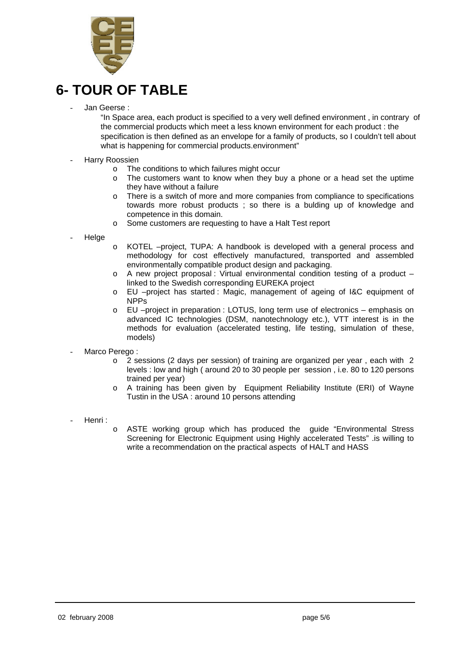

## **6- TOUR OF TABLE**

Jan Geerse:

"In Space area, each product is specified to a very well defined environment , in contrary of the commercial products which meet a less known environment for each product : the specification is then defined as an envelope for a family of products, so I couldn't tell about what is happening for commercial products.environment"

- Harry Roossien
	- o The conditions to which failures might occur
	- o The customers want to know when they buy a phone or a head set the uptime they have without a failure
	- o There is a switch of more and more companies from compliance to specifications towards more robust products ; so there is a bulding up of knowledge and competence in this domain.
	- o Some customers are requesting to have a Halt Test report
- **Helge**
- o KOTEL –project, TUPA: A handbook is developed with a general process and methodology for cost effectively manufactured, transported and assembled environmentally compatible product design and packaging.
- $\circ$  A new project proposal : Virtual environmental condition testing of a product linked to the Swedish corresponding EUREKA project
- o EU –project has started : Magic, management of ageing of I&C equipment of NPPs
- o EU –project in preparation : LOTUS, long term use of electronics emphasis on advanced IC technologies (DSM, nanotechnology etc.), VTT interest is in the methods for evaluation (accelerated testing, life testing, simulation of these, models)
- Marco Perego:
	- o 2 sessions (2 days per session) of training are organized per year , each with 2 levels : low and high ( around 20 to 30 people per session , i.e. 80 to 120 persons trained per year)
	- o A training has been given by Equipment Reliability Institute (ERI) of Wayne Tustin in the USA : around 10 persons attending
- Henri :
	- o ASTE working group which has produced the guide "Environmental Stress Screening for Electronic Equipment using Highly accelerated Tests" .is willing to write a recommendation on the practical aspects of HALT and HASS